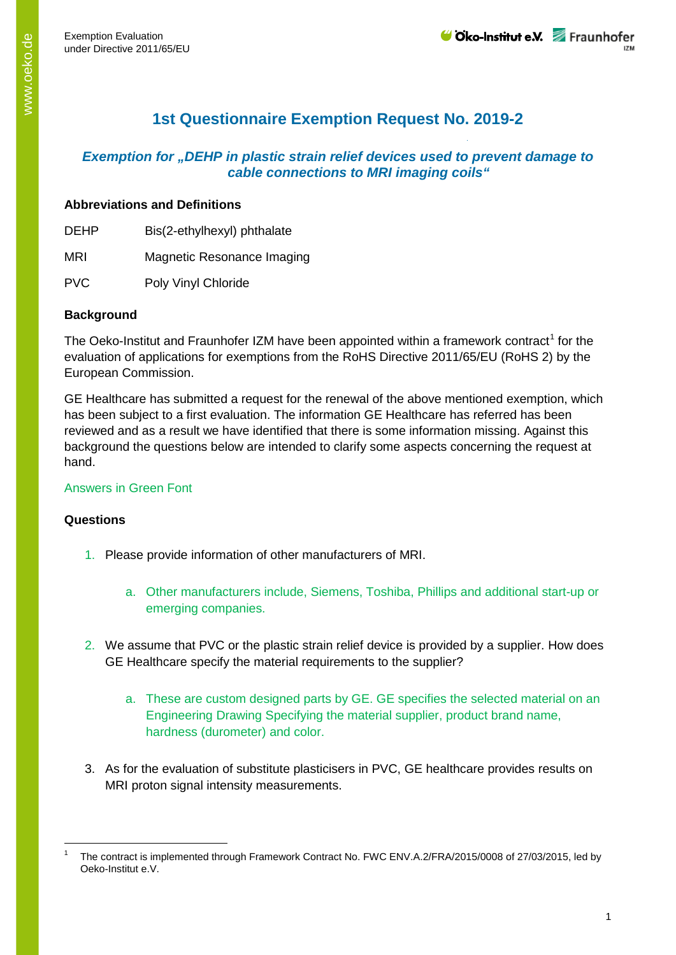# **1st Questionnaire Exemption Request No. 2019-2**

## *Exemption for "DEHP in plastic strain relief devices used to prevent damage to cable connections to MRI imaging coils"*

### **Abbreviations and Definitions**

DEHP Bis(2-ethylhexyl) phthalate

MRI Magnetic Resonance Imaging

PVC Poly Vinyl Chloride

#### **Background**

The Oeko-Institut and Fraunhofer IZM have been appointed within a framework contract<sup>[1](#page-0-0)</sup> for the evaluation of applications for exemptions from the RoHS Directive 2011/65/EU (RoHS 2) by the European Commission.

GE Healthcare has submitted a request for the renewal of the above mentioned exemption, which has been subject to a first evaluation. The information GE Healthcare has referred has been reviewed and as a result we have identified that there is some information missing. Against this background the questions below are intended to clarify some aspects concerning the request at hand.

## Answers in Green Font

#### **Questions**

- 1. Please provide information of other manufacturers of MRI.
	- a. Other manufacturers include, Siemens, Toshiba, Phillips and additional start-up or emerging companies.
- 2. We assume that PVC or the plastic strain relief device is provided by a supplier. How does GE Healthcare specify the material requirements to the supplier?
	- a. These are custom designed parts by GE. GE specifies the selected material on an Engineering Drawing Specifying the material supplier, product brand name, hardness (durometer) and color.
- 3. As for the evaluation of substitute plasticisers in PVC, GE healthcare provides results on MRI proton signal intensity measurements.

<span id="page-0-0"></span>The contract is implemented through Framework Contract No. FWC ENV.A.2/FRA/2015/0008 of 27/03/2015, led by Oeko-Institut e.V.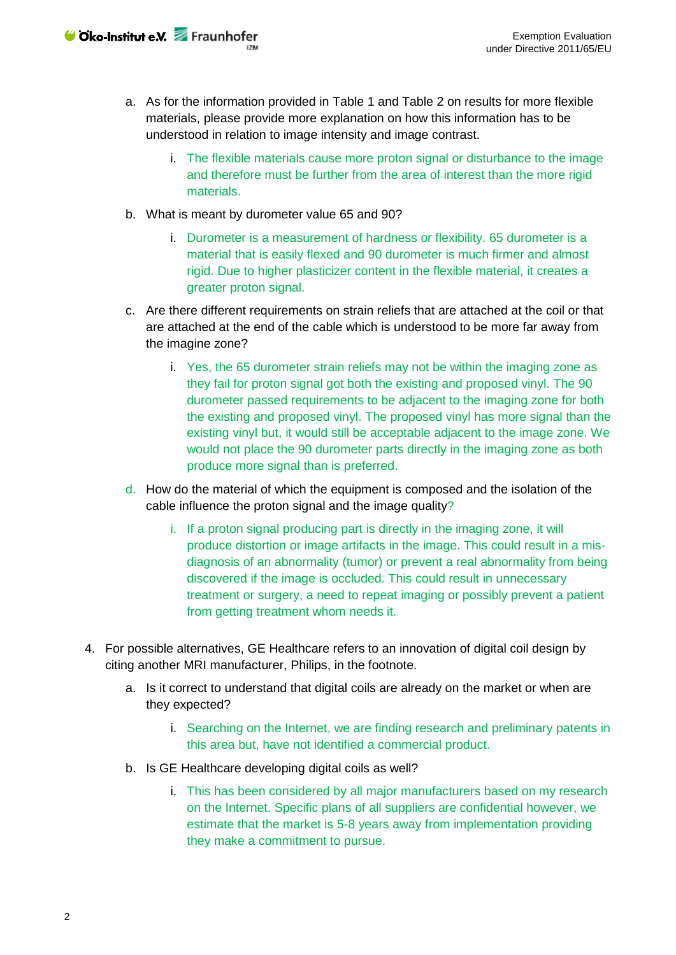- a. As for the information provided in Table 1 and Table 2 on results for more flexible materials, please provide more explanation on how this information has to be understood in relation to image intensity and image contrast.
	- i. The flexible materials cause more proton signal or disturbance to the image and therefore must be further from the area of interest than the more rigid materials.
- b. What is meant by durometer value 65 and 90?
	- i. Durometer is a measurement of hardness or flexibility. 65 durometer is a material that is easily flexed and 90 durometer is much firmer and almost rigid. Due to higher plasticizer content in the flexible material, it creates a greater proton signal.
- c. Are there different requirements on strain reliefs that are attached at the coil or that are attached at the end of the cable which is understood to be more far away from the imagine zone?
	- i. Yes, the 65 durometer strain reliefs may not be within the imaging zone as they fail for proton signal got both the existing and proposed vinyl. The 90 durometer passed requirements to be adjacent to the imaging zone for both the existing and proposed vinyl. The proposed vinyl has more signal than the existing vinyl but, it would still be acceptable adjacent to the image zone. We would not place the 90 durometer parts directly in the imaging zone as both produce more signal than is preferred.
- d. How do the material of which the equipment is composed and the isolation of the cable influence the proton signal and the image quality?
	- i. If a proton signal producing part is directly in the imaging zone, it will produce distortion or image artifacts in the image. This could result in a misdiagnosis of an abnormality (tumor) or prevent a real abnormality from being discovered if the image is occluded. This could result in unnecessary treatment or surgery, a need to repeat imaging or possibly prevent a patient from getting treatment whom needs it.
- 4. For possible alternatives, GE Healthcare refers to an innovation of digital coil design by citing another MRI manufacturer, Philips, in the footnote.
	- a. Is it correct to understand that digital coils are already on the market or when are they expected?
		- i. Searching on the Internet, we are finding research and preliminary patents in this area but, have not identified a commercial product.
	- b. Is GE Healthcare developing digital coils as well?
		- i. This has been considered by all major manufacturers based on my research on the Internet. Specific plans of all suppliers are confidential however, we estimate that the market is 5-8 years away from implementation providing they make a commitment to pursue.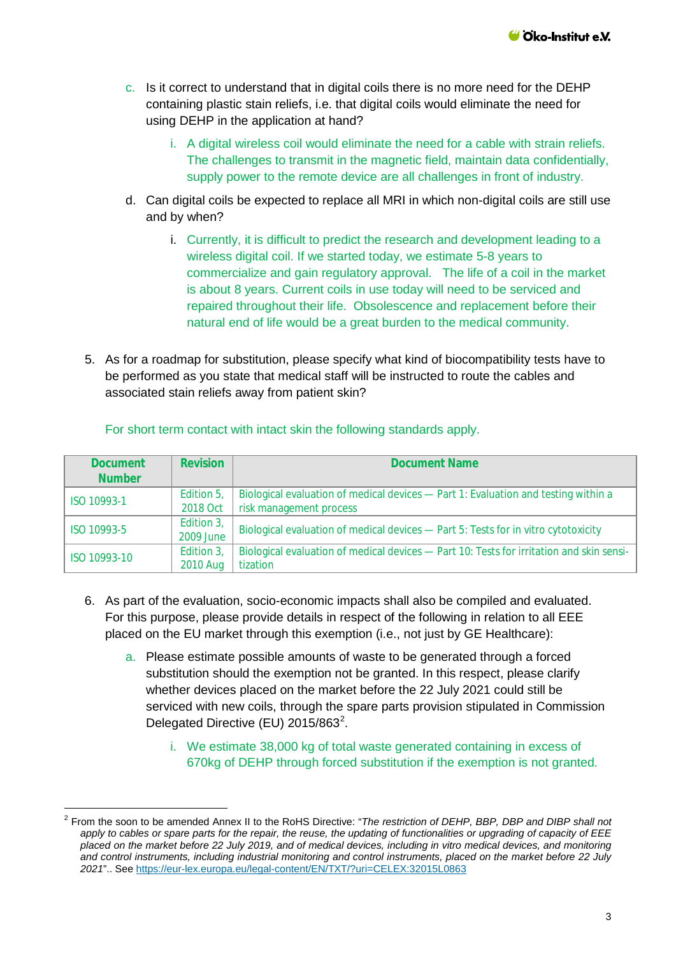- c. Is it correct to understand that in digital coils there is no more need for the DEHP containing plastic stain reliefs, i.e. that digital coils would eliminate the need for using DEHP in the application at hand?
	- i. A digital wireless coil would eliminate the need for a cable with strain reliefs. The challenges to transmit in the magnetic field, maintain data confidentially, supply power to the remote device are all challenges in front of industry.
- d. Can digital coils be expected to replace all MRI in which non-digital coils are still use and by when?
	- i. Currently, it is difficult to predict the research and development leading to a wireless digital coil. If we started today, we estimate 5-8 years to commercialize and gain regulatory approval. The life of a coil in the market is about 8 years. Current coils in use today will need to be serviced and repaired throughout their life. Obsolescence and replacement before their natural end of life would be a great burden to the medical community.
- 5. As for a roadmap for substitution, please specify what kind of biocompatibility tests have to be performed as you state that medical staff will be instructed to route the cables and associated stain reliefs away from patient skin?

| <b>Document</b><br><b>Number</b> | <b>Revision</b> | <b>Document Name</b>                                                                     |
|----------------------------------|-----------------|------------------------------------------------------------------------------------------|
| ISO 10993-1                      | Edition 5,      | Biological evaluation of medical devices - Part 1: Evaluation and testing within a       |
|                                  | 2018 Oct        | risk management process                                                                  |
| ISO 10993-5                      | Edition 3,      | Biological evaluation of medical devices - Part 5: Tests for in vitro cytotoxicity       |
|                                  | 2009 June       |                                                                                          |
| ISO 10993-10                     | Edition 3,      | Biological evaluation of medical devices - Part 10: Tests for irritation and skin sensi- |
|                                  | 2010 Aug        | tization                                                                                 |

#### For short term contact with intact skin the following standards apply.

- 6. As part of the evaluation, socio-economic impacts shall also be compiled and evaluated. For this purpose, please provide details in respect of the following in relation to all EEE placed on the EU market through this exemption (i.e., not just by GE Healthcare):
	- a. Please estimate possible amounts of waste to be generated through a forced substitution should the exemption not be granted. In this respect, please clarify whether devices placed on the market before the 22 July 2021 could still be serviced with new coils, through the spare parts provision stipulated in Commission Delegated Directive (EU) [2](#page-2-0)015/863<sup>2</sup>.
		- i. We estimate 38,000 kg of total waste generated containing in excess of 670kg of DEHP through forced substitution if the exemption is not granted.

<span id="page-2-0"></span> <sup>2</sup> From the soon to be amended Annex II to the RoHS Directive: "*The restriction of DEHP, BBP, DBP and DIBP shall not apply to cables or spare parts for the repair, the reuse, the updating of functionalities or upgrading of capacity of EEE placed on the market before 22 July 2019, and of medical devices, including in vitro medical devices, and monitoring and control instruments, including industrial monitoring and control instruments, placed on the market before 22 July 2021*".. See<https://eur-lex.europa.eu/legal-content/EN/TXT/?uri=CELEX:32015L0863>